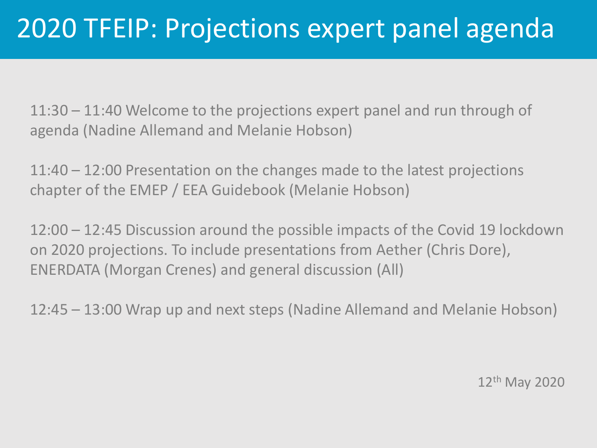11:30 – 11:40 Welcome to the projections expert panel and run through of agenda (Nadine Allemand and Melanie Hobson)

11:40 – 12:00 Presentation on the changes made to the latest projections chapter of the EMEP / EEA Guidebook (Melanie Hobson)

12:00 – 12:45 Discussion around the possible impacts of the Covid 19 lockdown on 2020 projections. To include presentations from Aether (Chris Dore), ENERDATA (Morgan Crenes) and general discussion (All)

12:45 – 13:00 Wrap up and next steps (Nadine Allemand and Melanie Hobson)

12<sup>th</sup> May 2020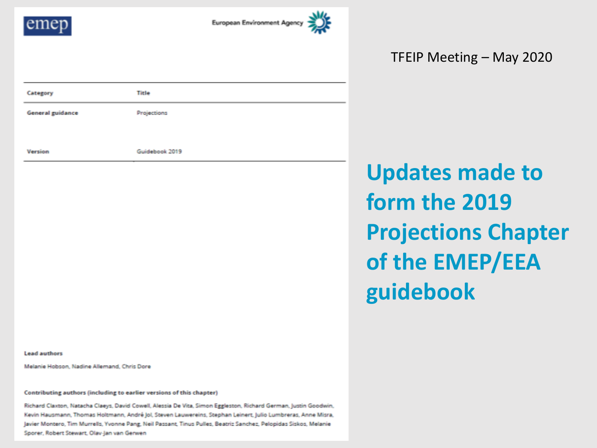

Category

Version

**General guidance** 



**Updates made to form the 2019 Projections Chapter of the EMEP/EEA guidebook**

**Lead authors** 

Melanie Hobson, Nadine Allemand, Chris Dore

Contributing authors (including to earlier versions of this chapter)

Title

Projections

Guidebook 2019

Richard Claxton, Natacha Claeys, David Cowell, Alessia De Vita, Simon Eggleston, Richard German, Justin Goodwin, Kevin Hausmann, Thomas Holtmann, André Jol, Steven Lauwereins, Stephan Leinert, Julio Lumbreras, Anne Misra, Javier Montero, Tim Murrells, Yvonne Pang, Neil Passant, Tinus Pulles, Beatriz Sanchez, Pelopidas Siskos, Melanie Sporer, Robert Stewart, Olav-Jan van Gerwen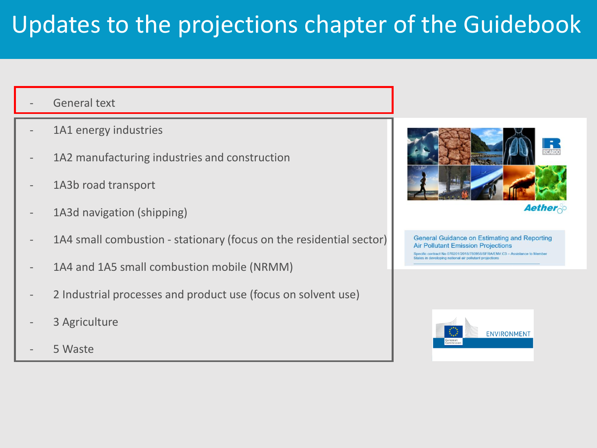## Updates to the projections chapter of the Guidebook

- General text
- 1A1 energy industries
- 1A2 manufacturing industries and construction
- 1A3b road transport
- 1A3d navigation (shipping)
- 1A4 small combustion stationary (focus on the residential sector)
- 1A4 and 1A5 small combustion mobile (NRMM)
- 2 Industrial processes and product use (focus on solvent use)
- 3 Agriculture
- 5 Waste





**General Guidance on Estimating and Reporting Air Pollutant Emission Projections** pecific contract No 070201/2018/780958/SFRA/ENV.C3 - Assistance to Member States in developing national air pollutant projections

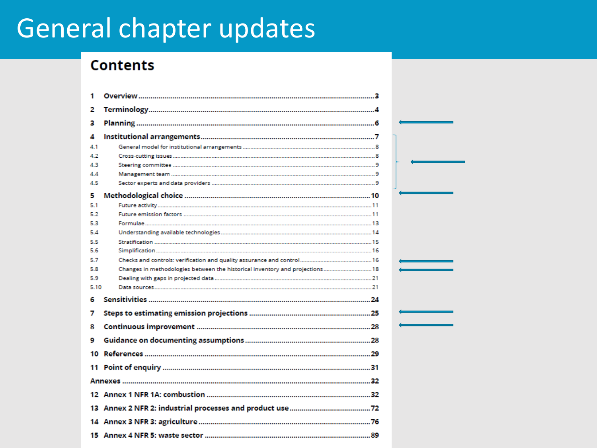# General chapter updates

## **Contents**

| 1    |                                                                              |  |
|------|------------------------------------------------------------------------------|--|
| 2    |                                                                              |  |
| 3    |                                                                              |  |
| Δ    |                                                                              |  |
| 4.1  |                                                                              |  |
| 4.2  |                                                                              |  |
| 4.3  |                                                                              |  |
| 4.4  |                                                                              |  |
| 4.5  |                                                                              |  |
| 5    |                                                                              |  |
| 5.1  |                                                                              |  |
| 5.2  |                                                                              |  |
| 5.3  |                                                                              |  |
| 54   |                                                                              |  |
| 5.5  |                                                                              |  |
| 5.6  |                                                                              |  |
| 5.7  |                                                                              |  |
| 5.8  | Changes in methodologies between the historical inventory and projections 18 |  |
| 59   |                                                                              |  |
| 5.10 |                                                                              |  |
| 6    |                                                                              |  |
| 7    |                                                                              |  |
| 8    |                                                                              |  |
| 9    |                                                                              |  |
|      |                                                                              |  |
|      |                                                                              |  |
|      |                                                                              |  |
|      |                                                                              |  |
|      |                                                                              |  |
|      |                                                                              |  |
|      |                                                                              |  |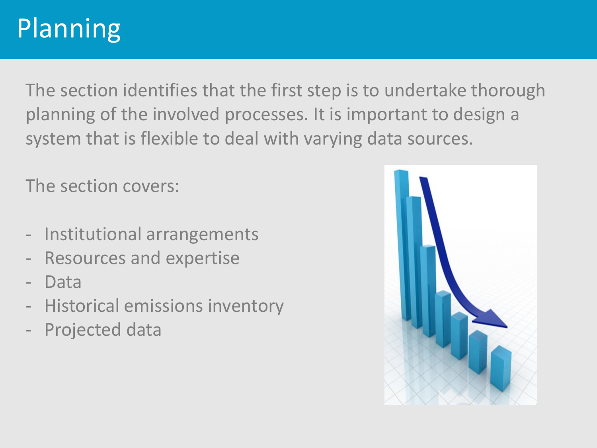# Planning

The section identifies that the first step is to undertake thorough planning of the involved processes. It is important to design a system that is flexible to deal with varying data sources.

The section covers:

- Institutional arrangements
- Resources and expertise
- Data
- Historical emissions inventory
- Projected data

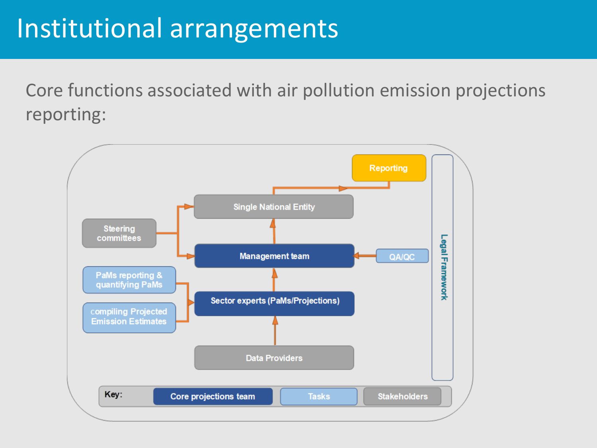## Institutional arrangements

Core functions associated with air pollution emission projections reporting:

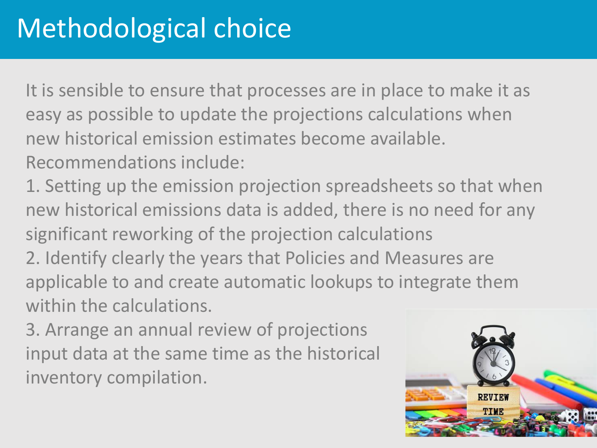# Methodological choice

It is sensible to ensure that processes are in place to make it as easy as possible to update the projections calculations when new historical emission estimates become available. Recommendations include:

1. Setting up the emission projection spreadsheets so that when new historical emissions data is added, there is no need for any significant reworking of the projection calculations

2. Identify clearly the years that Policies and Measures are applicable to and create automatic lookups to integrate them within the calculations.

3. Arrange an annual review of projections input data at the same time as the historical inventory compilation.

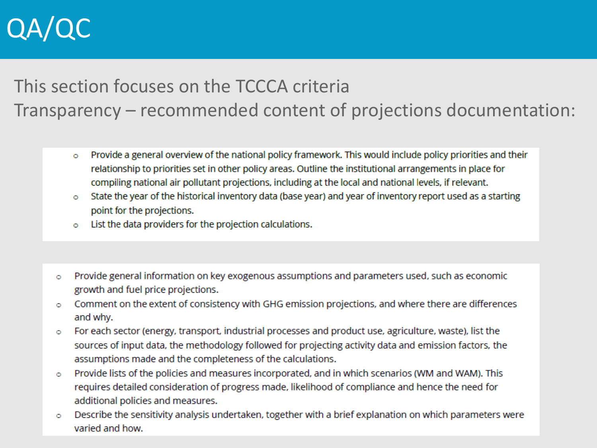# QA/QC

## This section focuses on the TCCCA criteria Transparency – recommended content of projections documentation:

- Provide a general overview of the national policy framework. This would include policy priorities and their  $\circ$ relationship to priorities set in other policy areas. Outline the institutional arrangements in place for compiling national air pollutant projections, including at the local and national levels, if relevant.
- State the year of the historical inventory data (base year) and year of inventory report used as a starting  $\circ$ point for the projections.
- o List the data providers for the projection calculations.
- Provide general information on key exogenous assumptions and parameters used, such as economic  $\circ$ growth and fuel price projections.
- Comment on the extent of consistency with GHG emission projections, and where there are differences  $\circ$ and why.
- For each sector (energy, transport, industrial processes and product use, agriculture, waste), list the Ō sources of input data, the methodology followed for projecting activity data and emission factors, the assumptions made and the completeness of the calculations.
- Provide lists of the policies and measures incorporated, and in which scenarios (WM and WAM). This Ō requires detailed consideration of progress made, likelihood of compliance and hence the need for additional policies and measures.
- Describe the sensitivity analysis undertaken, together with a brief explanation on which parameters were Ō varied and how.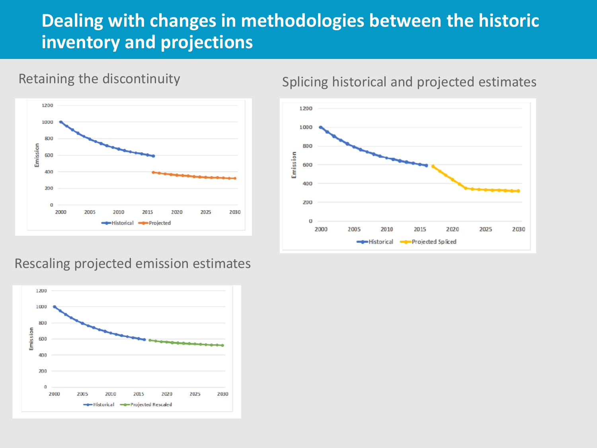## **Dealing with changes in methodologies between the historic inventory and projections**



## Retaining the discontinuity

## Splicing historical and projected estimates



#### Rescaling projected emission estimates

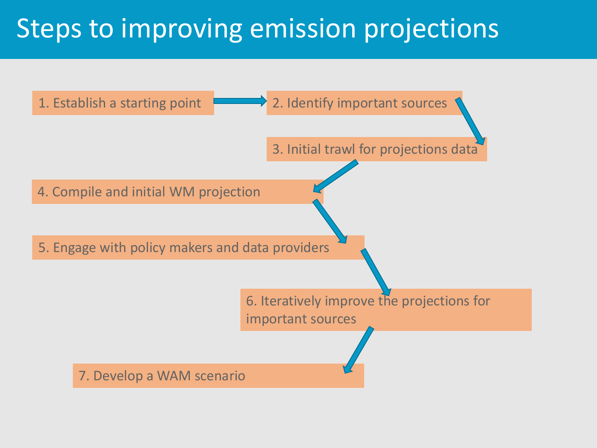## Steps to improving emission projections

![](_page_9_Figure_1.jpeg)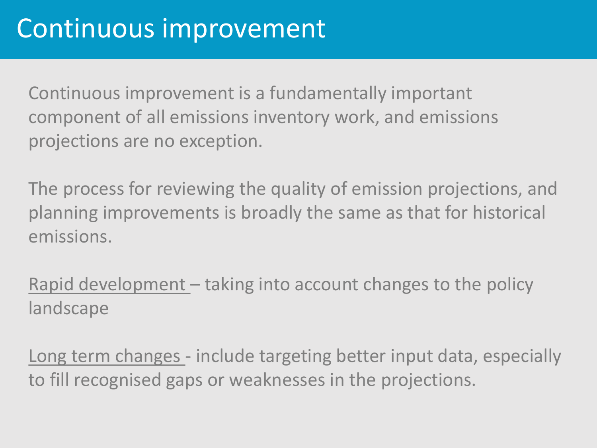Continuous improvement is a fundamentally important component of all emissions inventory work, and emissions projections are no exception.

The process for reviewing the quality of emission projections, and planning improvements is broadly the same as that for historical emissions.

Rapid development – taking into account changes to the policy landscape

Long term changes - include targeting better input data, especially to fill recognised gaps or weaknesses in the projections.